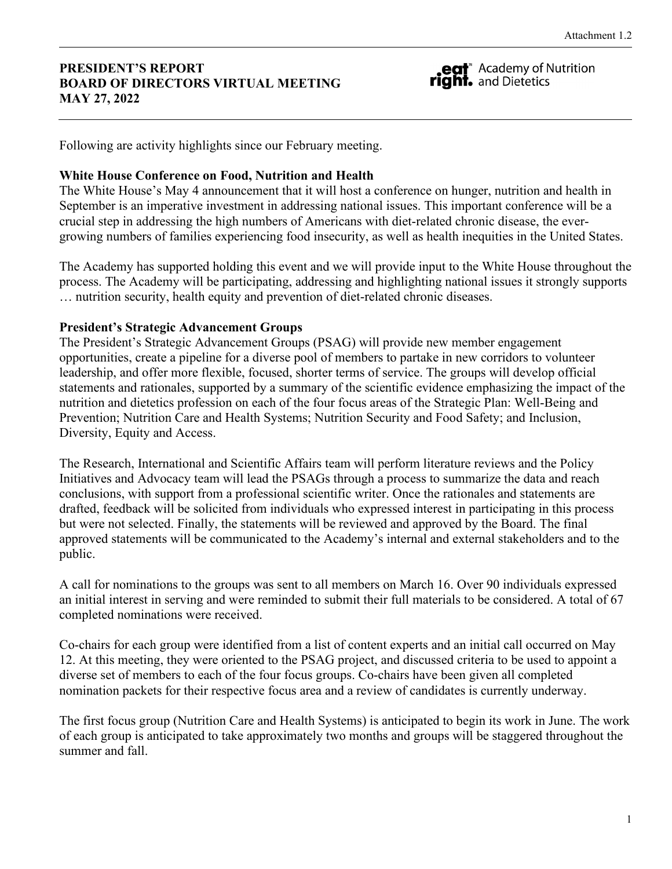#### **PRESIDENT'S REPORT BOARD OF DIRECTORS VIRTUAL MEETING MAY 27, 2022**

eat<sup>"</sup> Academy of Nutrition right. and Dietetics

Following are activity highlights since our February meeting.

#### **White House Conference on Food, Nutrition and Health**

The White House's May 4 announcement that it will host a conference on hunger, nutrition and health in September is an imperative investment in addressing national issues. This important conference will be a crucial step in addressing the high numbers of Americans with diet-related chronic disease, the evergrowing numbers of families experiencing food insecurity, as well as health inequities in the United States.

The Academy has supported holding this event and we will provide input to the White House throughout the process. The Academy will be participating, addressing and highlighting national issues it strongly supports … nutrition security, health equity and prevention of diet-related chronic diseases.

#### **President's Strategic Advancement Groups**

The President's Strategic Advancement Groups (PSAG) will provide new member engagement opportunities, create a pipeline for a diverse pool of members to partake in new corridors to volunteer leadership, and offer more flexible, focused, shorter terms of service. The groups will develop official statements and rationales, supported by a summary of the scientific evidence emphasizing the impact of the nutrition and dietetics profession on each of the four focus areas of the Strategic Plan: Well-Being and Prevention; Nutrition Care and Health Systems; Nutrition Security and Food Safety; and Inclusion, Diversity, Equity and Access.

The Research, International and Scientific Affairs team will perform literature reviews and the Policy Initiatives and Advocacy team will lead the PSAGs through a process to summarize the data and reach conclusions, with support from a professional scientific writer. Once the rationales and statements are drafted, feedback will be solicited from individuals who expressed interest in participating in this process but were not selected. Finally, the statements will be reviewed and approved by the Board. The final approved statements will be communicated to the Academy's internal and external stakeholders and to the public.

A call for nominations to the groups was sent to all members on March 16. Over 90 individuals expressed an initial interest in serving and were reminded to submit their full materials to be considered. A total of 67 completed nominations were received.

Co-chairs for each group were identified from a list of content experts and an initial call occurred on May 12. At this meeting, they were oriented to the PSAG project, and discussed criteria to be used to appoint a diverse set of members to each of the four focus groups. Co-chairs have been given all completed nomination packets for their respective focus area and a review of candidates is currently underway.

The first focus group (Nutrition Care and Health Systems) is anticipated to begin its work in June. The work of each group is anticipated to take approximately two months and groups will be staggered throughout the summer and fall.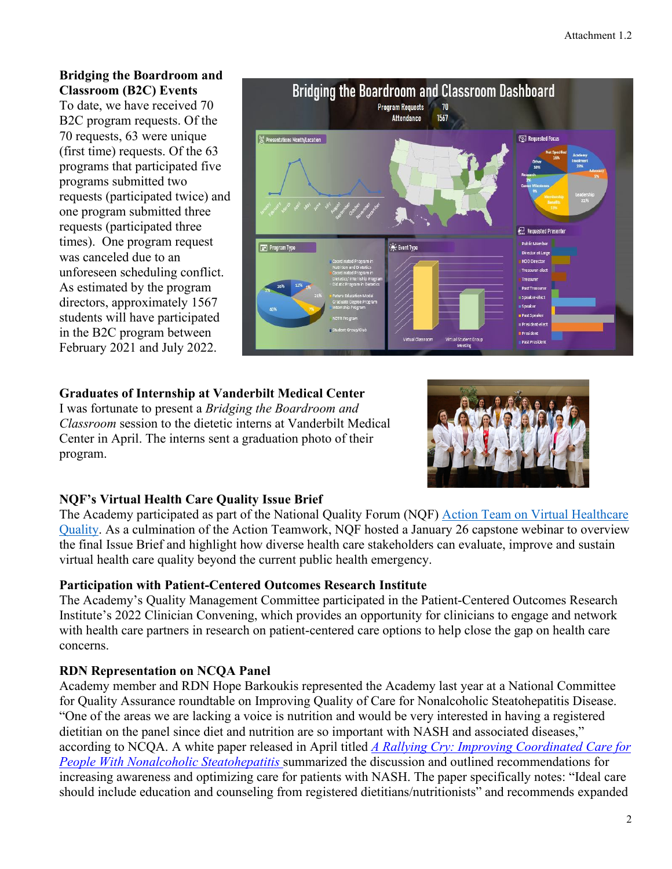#### **Bridging the Boardroom and Classroom (B2C) Events**

To date, we have received 70 B2C program requests. Of the 70 requests, 63 were unique (first time) requests. Of the 63 programs that participated five programs submitted two requests (participated twice) and one program submitted three requests (participated three times). One program request was canceled due to an unforeseen scheduling conflict. As estimated by the program directors, approximately 1567 students will have participated in the B2C program between February 2021 and July 2022.



# **Graduates of Internship at Vanderbilt Medical Center**

I was fortunate to present a *Bridging the Boardroom and Classroom* session to the dietetic interns at Vanderbilt Medical Center in April. The interns sent a graduation photo of their program.



# **NQF's Virtual Health Care Quality Issue Brief**

The Academy participated as part of the National Quality Forum (NQF) [Action Team on Virtual Healthcare](https://nam10.safelinks.protection.outlook.com/?url=https%3A%2F%2Fwww.qualityforum.org%2FNQF_Action_Team_-_Virtual_Healthcare_Quality.aspx&data=04%7C01%7Ccwilliams1%40eatright.org%7Cda9bfdfd19bb4349a5f908d9e1b65aa6%7C5da1b5c430044586b7ab2dd01f24d7d2%7C0%7C0%7C637788995587436234%7CUnknown%7CTWFpbGZsb3d8eyJWIjoiMC4wLjAwMDAiLCJQIjoiV2luMzIiLCJBTiI6Ik1haWwiLCJXVCI6Mn0%3D%7C3000&sdata=UKWWoLVr9Dlwo7PuQ8aWDixkj1Yn5DnNpX8MqCU%2F5w4%3D&reserved=0)  [Quality.](https://nam10.safelinks.protection.outlook.com/?url=https%3A%2F%2Fwww.qualityforum.org%2FNQF_Action_Team_-_Virtual_Healthcare_Quality.aspx&data=04%7C01%7Ccwilliams1%40eatright.org%7Cda9bfdfd19bb4349a5f908d9e1b65aa6%7C5da1b5c430044586b7ab2dd01f24d7d2%7C0%7C0%7C637788995587436234%7CUnknown%7CTWFpbGZsb3d8eyJWIjoiMC4wLjAwMDAiLCJQIjoiV2luMzIiLCJBTiI6Ik1haWwiLCJXVCI6Mn0%3D%7C3000&sdata=UKWWoLVr9Dlwo7PuQ8aWDixkj1Yn5DnNpX8MqCU%2F5w4%3D&reserved=0) As a culmination of the Action Teamwork, NQF hosted a January 26 capstone webinar to overview the final Issue Brief and highlight how diverse health care stakeholders can evaluate, improve and sustain virtual health care quality beyond the current public health emergency.

# **Participation with Patient-Centered Outcomes Research Institute**

The Academy's Quality Management Committee participated in the Patient-Centered Outcomes Research Institute's 2022 Clinician Convening, which provides an opportunity for clinicians to engage and network with health care partners in research on patient-centered care options to help close the gap on health care concerns.

# **RDN Representation on NCQA Panel**

Academy member and RDN Hope Barkoukis represented the Academy last year at a National Committee for Quality Assurance roundtable on Improving Quality of Care for Nonalcoholic Steatohepatitis Disease. "One of the areas we are lacking a voice is nutrition and would be very interested in having a registered dietitian on the panel since diet and nutrition are so important with NASH and associated diseases," according to NCQA. A white paper released in April titled *[A Rallying Cry: Improving Coordinated Care for](https://www.ncqa.org/white-papers/a-rallying-cry-improving-coordinated-care-for-people-with-nonalcoholic-steatohepatitis/)  [People With Nonalcoholic Steatohepatitis](https://www.ncqa.org/white-papers/a-rallying-cry-improving-coordinated-care-for-people-with-nonalcoholic-steatohepatitis/)* summarized the discussion and outlined recommendations for increasing awareness and optimizing care for patients with NASH. The paper specifically notes: "Ideal care should include education and counseling from registered dietitians/nutritionists" and recommends expanded